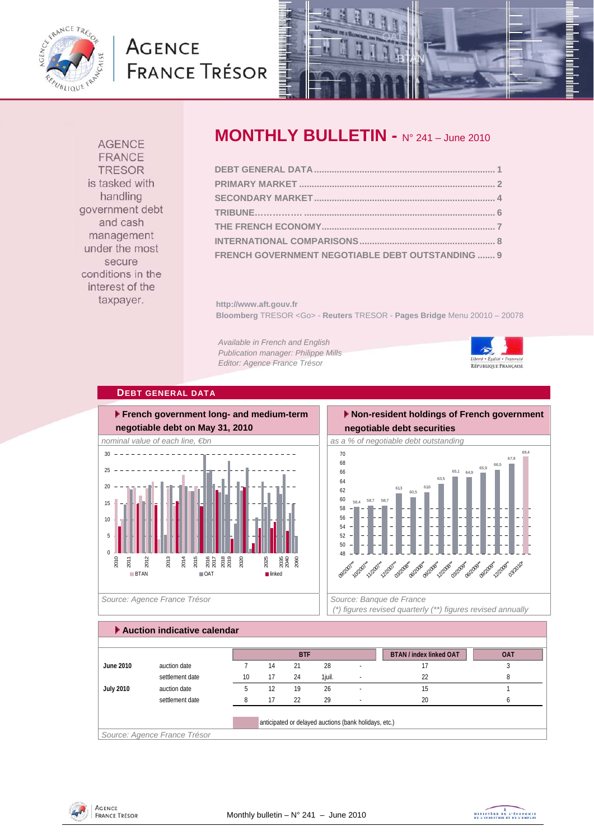

# **AGENCE FRANCE TRÉSOR**



**AGENCE FRANCE TRESOR** is tasked with handling government debt and cash management under the most secure conditions in the interest of the taxpayer.

# **MONTHLY BULLETIN -** N° 241 – June 2010

| FRENCH GOVERNMENT NEGOTIABLE DEBT OUTSTANDING  9 |  |
|--------------------------------------------------|--|

**http://www.aft.gouv.fr Bloomberg** TRESOR <Go> - **Reuters** TRESOR - **Pages Bridge** Menu 20010 – 20078

*Available in French and English Publication manager: Philippe Mills Editor: Agence France Trésor* 



## **DEBT GENERAL DATA**



 **Non-resident holdings of French government negotiable debt securities** 



 *(\*) figures revised quarterly (\*\*) figures revised annually* 

# **Auction indicative calendar**

|                  |                              |    |    | <b>BTF</b> |        |                                                       | <b>BTAN / index linked OAT</b> | <b>OAT</b> |
|------------------|------------------------------|----|----|------------|--------|-------------------------------------------------------|--------------------------------|------------|
| June 2010        | auction date                 |    | 14 | 21         | 28     |                                                       |                                |            |
|                  | settlement date              | 10 | 17 | 24         | 1iuil. |                                                       | 22                             | ŏ          |
| <b>July 2010</b> | auction date                 |    | 12 | 19         | 26     |                                                       | 15                             |            |
|                  | settlement date              |    | 17 | 22         | 29     | $\overline{\phantom{a}}$                              | 20                             |            |
|                  |                              |    |    |            |        | anticipated or delayed auctions (bank holidays, etc.) |                                |            |
|                  | Source: Agence France Trésor |    |    |            |        |                                                       |                                |            |



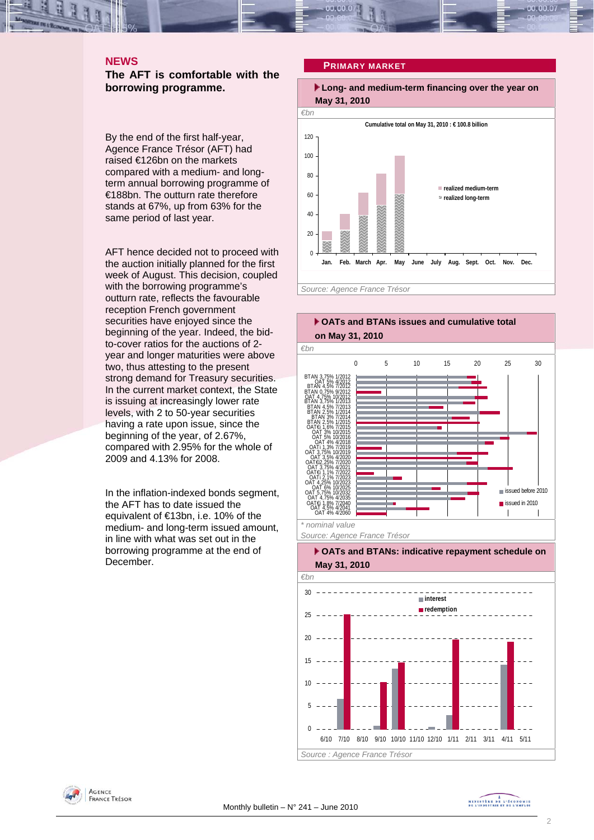#### **NEWS**

**The AFT is comfortable with the borrowing programme.** 

By the end of the first half-year, Agence France Trésor (AFT) had raised €126bn on the markets compared with a medium- and longterm annual borrowing programme of €188bn. The outturn rate therefore stands at 67%, up from 63% for the same period of last year.

AFT hence decided not to proceed with the auction initially planned for the first week of August. This decision, coupled with the borrowing programme's outturn rate, reflects the favourable reception French government securities have enjoyed since the beginning of the year. Indeed, the bidto-cover ratios for the auctions of 2 year and longer maturities were above two, thus attesting to the present strong demand for Treasury securities. In the current market context, the State is issuing at increasingly lower rate levels, with 2 to 50-year securities having a rate upon issue, since the beginning of the year, of 2.67%, compared with 2.95% for the whole of 2009 and 4.13% for 2008.

In the inflation-indexed bonds segment, the AFT has to date issued the equivalent of €13bn, i.e. 10% of the medium- and long-term issued amount, in line with what was set out in the borrowing programme at the end of December.

#### **PRIMARY MARKET**

 **Long- and medium-term financing over the year on May 31, 2010** 







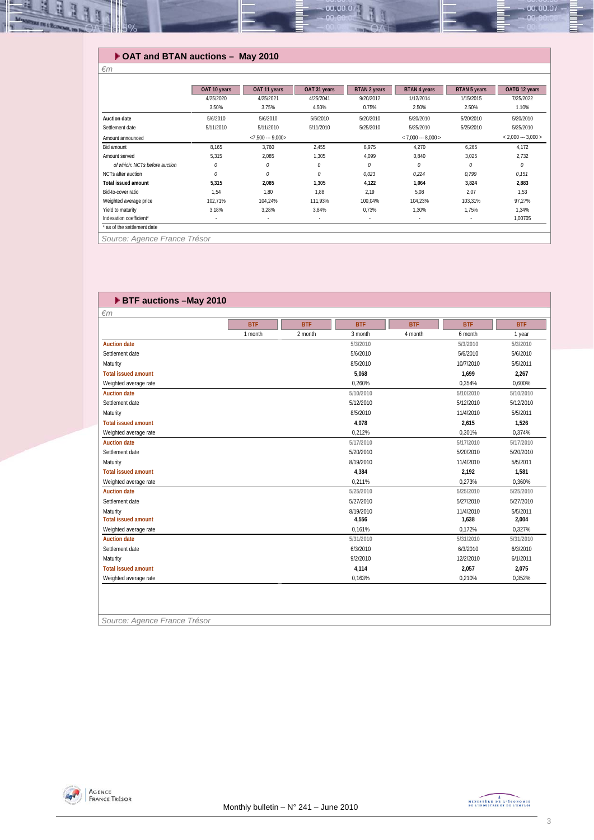#### ų E 00.00.07 00.00.

## **OAT and BTAN auctions – May 2010**

*€m* 

|                               | OAT 10 years | OAT 11 years      | OAT 31 years | BTAN 2 years | <b>BTAN 4 years</b>  | <b>BTAN 5 years</b> | OAT€i 12 years      |
|-------------------------------|--------------|-------------------|--------------|--------------|----------------------|---------------------|---------------------|
|                               | 4/25/2020    | 4/25/2021         | 4/25/2041    | 9/20/2012    | 1/12/2014            | 1/15/2015           | 7/25/2022           |
|                               | 3.50%        | 3.75%             | 4.50%        | 0.75%        | 2.50%                | 2.50%               | 1.10%               |
| <b>Auction date</b>           | 5/6/2010     | 5/6/2010          | 5/6/2010     | 5/20/2010    | 5/20/2010            | 5/20/2010           | 5/20/2010           |
| Settlement date               | 5/11/2010    | 5/11/2010         | 5/11/2010    | 5/25/2010    | 5/25/2010            | 5/25/2010           | 5/25/2010           |
| Amount announced              |              | $< 7.500 - 9.000$ |              |              | $< 7,000 -- 8,000 >$ |                     | $< 2,000 - 3,000 >$ |
| Bid amount                    | 8,165        | 3,760             | 2,455        | 8.975        | 4,270                | 6,265               | 4,172               |
| Amount served                 | 5,315        | 2,085             | 1,305        | 4,099        | 0,840                | 3,025               | 2,732               |
| of which: NCTs before auction | 0            | 0                 | 0            | 0            | $\theta$             | $\theta$            | 0                   |
| NCTs after auction            | 0            | 0                 | 0            | 0,023        | 0,224                | 0,799               | 0,151               |
| <b>Total issued amount</b>    | 5,315        | 2,085             | 1,305        | 4,122        | 1,064                | 3,824               | 2,883               |
| Bid-to-cover ratio            | 1,54         | 1,80              | 1,88         | 2,19         | 5,08                 | 2,07                | 1,53                |
| Weighted average price        | 102,71%      | 104,24%           | 111.93%      | 100,04%      | 104,23%              | 103,31%             | 97,27%              |
| Yield to maturity             | 3,18%        | 3,28%             | 3,84%        | 0,73%        | 1,30%                | 1,75%               | 1,34%               |
| Indexation coefficient*       | ٠            | $\sim$            | ٠            | ٠            | $\blacksquare$       | $\sim$              | 1,00705             |
| * as of the settlement date   |              |                   |              |              |                      |                     |                     |
| Source: Agence France Trésor  |              |                   |              |              |                      |                     |                     |

# **BTF auctions –May 2010**

| $\epsilon$ m               |            |            |            |            |            |            |
|----------------------------|------------|------------|------------|------------|------------|------------|
|                            | <b>BTF</b> | <b>BTF</b> | <b>BTF</b> | <b>BTF</b> | <b>BTF</b> | <b>BTF</b> |
|                            | 1 month    | 2 month    | 3 month    | 4 month    | 6 month    | 1 year     |
| <b>Auction date</b>        |            |            | 5/3/2010   |            | 5/3/2010   | 5/3/2010   |
| Settlement date            |            |            | 5/6/2010   |            | 5/6/2010   | 5/6/2010   |
| Maturity                   |            |            | 8/5/2010   |            | 10/7/2010  | 5/5/2011   |
| <b>Total issued amount</b> |            |            | 5,068      |            | 1,699      | 2,267      |
| Weighted average rate      |            |            | 0.260%     |            | 0.354%     | 0.600%     |
| <b>Auction date</b>        |            |            | 5/10/2010  |            | 5/10/2010  | 5/10/2010  |
| Settlement date            |            |            | 5/12/2010  |            | 5/12/2010  | 5/12/2010  |
| Maturity                   |            |            | 8/5/2010   |            | 11/4/2010  | 5/5/2011   |
| <b>Total issued amount</b> |            |            | 4,078      |            | 2,615      | 1,526      |
| Weighted average rate      |            |            | 0,212%     |            | 0,301%     | 0,374%     |
| <b>Auction date</b>        |            |            | 5/17/2010  |            | 5/17/2010  | 5/17/2010  |
| Settlement date            |            |            | 5/20/2010  |            | 5/20/2010  | 5/20/2010  |
| Maturity                   |            |            | 8/19/2010  |            | 11/4/2010  | 5/5/2011   |
| <b>Total issued amount</b> |            |            | 4,384      |            | 2,192      | 1,581      |
| Weighted average rate      |            |            | 0,211%     |            | 0.273%     | 0,360%     |
| <b>Auction date</b>        |            |            | 5/25/2010  |            | 5/25/2010  | 5/25/2010  |
| Settlement date            |            |            | 5/27/2010  |            | 5/27/2010  | 5/27/2010  |
| Maturity                   |            |            | 8/19/2010  |            | 11/4/2010  | 5/5/2011   |
| <b>Total issued amount</b> |            |            | 4,556      |            | 1,638      | 2,004      |
| Weighted average rate      |            |            | 0,161%     |            | 0,172%     | 0,327%     |
| <b>Auction date</b>        |            |            | 5/31/2010  |            | 5/31/2010  | 5/31/2010  |
| Settlement date            |            |            | 6/3/2010   |            | 6/3/2010   | 6/3/2010   |
| Maturity                   |            |            | 9/2/2010   |            | 12/2/2010  | 6/1/2011   |
| <b>Total issued amount</b> |            |            | 4,114      |            | 2,057      | 2,075      |
| Weighted average rate      |            |            | 0.163%     |            | 0,210%     | 0,352%     |

*Source: Agence France Trésor* 

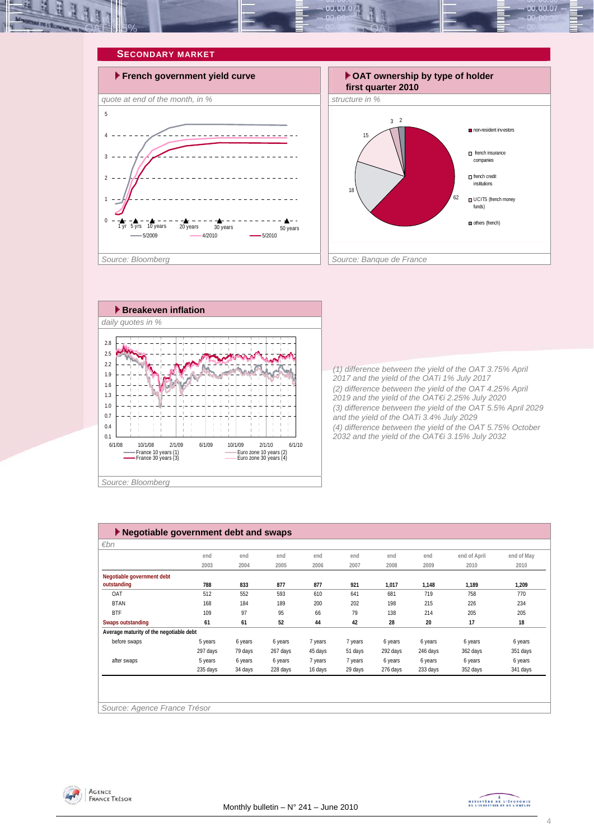







*(1) difference between the yield of the OAT 3.75% April 2017 and the yield of the OATi 1% July 2017 (2) difference between the yield of the OAT 4.25% April 2019 and the yield of the OAT€i 2.25% July 2020 (3) difference between the yield of the OAT 5.5% April 2029 and the yield of the OATi 3.4% July 2029 (4) difference between the yield of the OAT 5.75% October 2032 and the yield of the OAT€i 3.15% July 2032* 

| Negotiable government debt and swaps    |          |         |          |         |         |          |          |              |            |
|-----------------------------------------|----------|---------|----------|---------|---------|----------|----------|--------------|------------|
| $\varepsilon$ bn                        |          |         |          |         |         |          |          |              |            |
|                                         | end      | end     | end      | end     | end     | end      | end      | end of April | end of May |
|                                         | 2003     | 2004    | 2005     | 2006    | 2007    | 2008     | 2009     | 2010         | 2010       |
| Negotiable government debt              |          |         |          |         |         |          |          |              |            |
| outstanding                             | 788      | 833     | 877      | 877     | 921     | 1,017    | 1,148    | 1,189        | 1,209      |
| OAT                                     | 512      | 552     | 593      | 610     | 641     | 681      | 719      | 758          | 770        |
| <b>BTAN</b>                             | 168      | 184     | 189      | 200     | 202     | 198      | 215      | 226          | 234        |
| <b>BTF</b>                              | 109      | 97      | 95       | 66      | 79      | 138      | 214      | 205          | 205        |
| <b>Swaps outstanding</b>                | 61       | 61      | 52       | 44      | 42      | 28       | 20       | 17           | 18         |
| Average maturity of the negotiable debt |          |         |          |         |         |          |          |              |            |
| before swaps                            | 5 years  | 6 years | 6 years  | 7 years | 7 years | 6 years  | 6 years  | 6 years      | 6 years    |
|                                         | 297 days | 79 days | 267 days | 45 days | 51 days | 292 days | 246 days | 362 days     | 351 days   |
| after swaps                             | 5 years  | 6 years | 6 years  | 7 years | 7 years | 6 years  | 6 years  | 6 years      | 6 years    |
|                                         | 235 days | 34 days | 228 days | 16 days | 29 days | 276 days | 233 days | 352 days     | 341 days   |
|                                         |          |         |          |         |         |          |          |              |            |
|                                         |          |         |          |         |         |          |          |              |            |
|                                         |          |         |          |         |         |          |          |              |            |
| Source: Agence France Trésor            |          |         |          |         |         |          |          |              |            |



MINISTRE DE L'ÉCONOMIE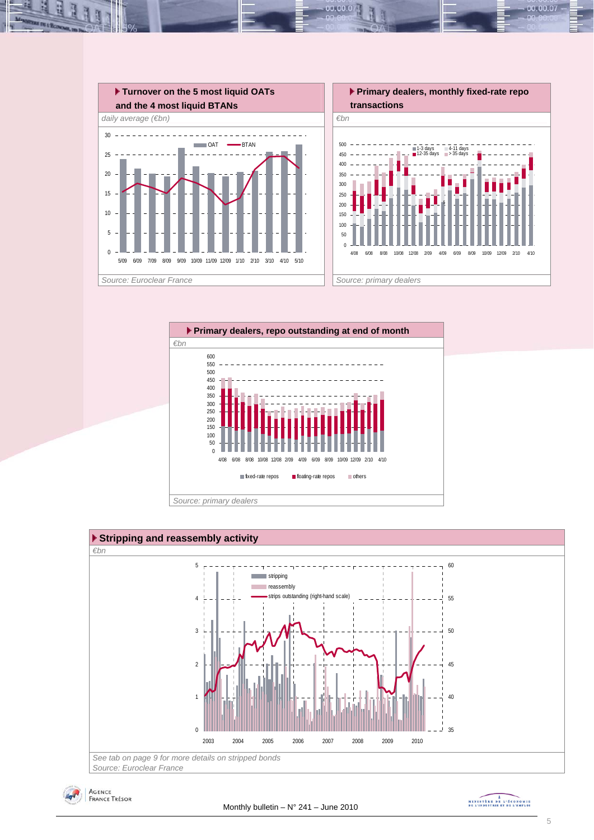

 $00.00.0$ 







MINISTRE DE L'ÉCONOMIE

00.00.07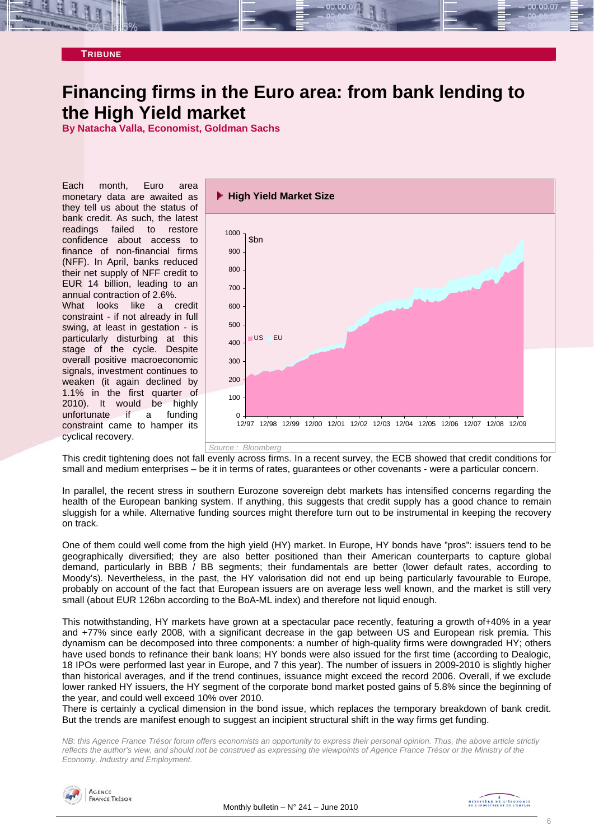#### **TRIBUNE**

# **Financing firms in the Euro area: from bank lending to the High Yield market**

**By Natacha Valla, Economist, Goldman Sachs** 

Each month, Euro area monetary data are awaited as they tell us about the status of bank credit. As such, the latest readings failed to restore confidence about access to finance of non-financial firms (NFF). In April, banks reduced their net supply of NFF credit to EUR 14 billion, leading to an annual contraction of 2.6%. What looks like a credit constraint - if not already in full swing, at least in gestation - is particularly disturbing at this stage of the cycle. Despite overall positive macroeconomic signals, investment continues to weaken (it again declined by 1.1% in the first quarter of 2010). It would be highly unfortunate if a funding constraint came to hamper its cyclical recovery.



This credit tightening does not fall evenly across firms. In a recent survey, the ECB showed that credit conditions for small and medium enterprises – be it in terms of rates, guarantees or other covenants - were a particular concern.

In parallel, the recent stress in southern Eurozone sovereign debt markets has intensified concerns regarding the health of the European banking system. If anything, this suggests that credit supply has a good chance to remain sluggish for a while. Alternative funding sources might therefore turn out to be instrumental in keeping the recovery on track.

One of them could well come from the high yield (HY) market. In Europe, HY bonds have "pros": issuers tend to be geographically diversified; they are also better positioned than their American counterparts to capture global demand, particularly in BBB / BB segments; their fundamentals are better (lower default rates, according to Moody's). Nevertheless, in the past, the HY valorisation did not end up being particularly favourable to Europe, probably on account of the fact that European issuers are on average less well known, and the market is still very small (about EUR 126bn according to the BoA-ML index) and therefore not liquid enough.

This notwithstanding, HY markets have grown at a spectacular pace recently, featuring a growth of+40% in a year and +77% since early 2008, with a significant decrease in the gap between US and European risk premia. This dynamism can be decomposed into three components: a number of high-quality firms were downgraded HY; others have used bonds to refinance their bank loans; HY bonds were also issued for the first time (according to Dealogic, 18 IPOs were performed last year in Europe, and 7 this year). The number of issuers in 2009-2010 is slightly higher than historical averages, and if the trend continues, issuance might exceed the record 2006. Overall, if we exclude lower ranked HY issuers, the HY segment of the corporate bond market posted gains of 5.8% since the beginning of the year, and could well exceed 10% over 2010.

There is certainly a cyclical dimension in the bond issue, which replaces the temporary breakdown of bank credit. But the trends are manifest enough to suggest an incipient structural shift in the way firms get funding.

*NB: this Agence France Trésor forum offers economists an opportunity to express their personal opinion. Thus, the above article strictly reflects the author's view, and should not be construed as expressing the viewpoints of Agence France Trésor or the Ministry of the Economy, Industry and Employment.* 

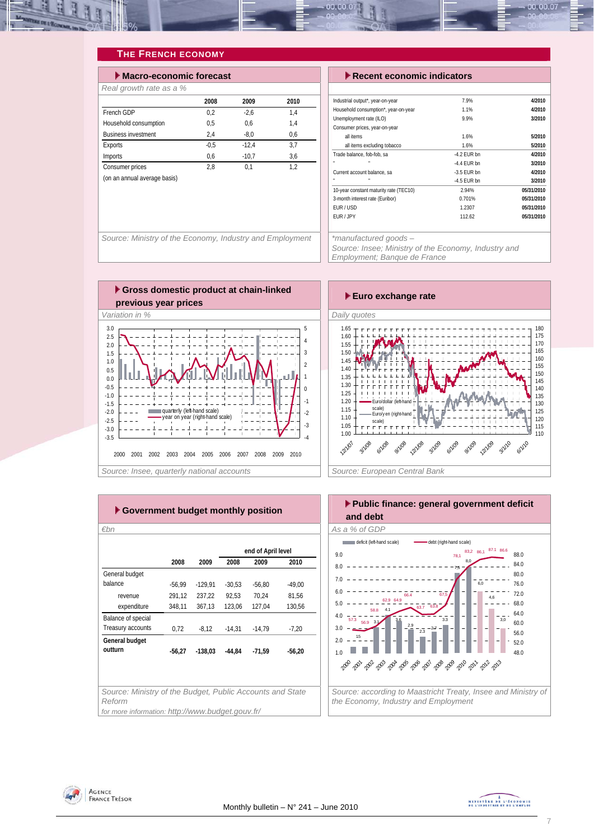

## **THE FRENCH ECONOMY**

| $\blacktriangleright$ Macro-economic forecast |        |         |      |
|-----------------------------------------------|--------|---------|------|
| Real growth rate as a %                       |        |         |      |
|                                               | 2008   | 2009    | 2010 |
| French GDP                                    | 0.2    | $-2.6$  | 1.4  |
| Household consumption                         | 0.5    | 0.6     | 1.4  |
| <b>Business investment</b>                    | 2.4    | $-8.0$  | 0.6  |
| Exports                                       | $-0.5$ | $-12.4$ | 3.7  |
| Imports                                       | 0,6    | $-10.7$ | 3,6  |
| Consumer prices                               | 2.8    | 0.1     | 1.2  |
| (on an annual average basis)                  |        |         |      |

#### **Execent economic indicators**

| Industrial output*, year-on-year       | 7.9%          | 4/2010     |
|----------------------------------------|---------------|------------|
| Household consumption*, year-on-year   | 1.1%          | 4/2010     |
| Unemployment rate (ILO)                | 9.9%          | 3/2010     |
| Consumer prices, year-on-year          |               |            |
| all items                              | 1.6%          | 5/2010     |
| all items excluding tobacco            | 1.6%          | 5/2010     |
| Trade balance, fob-fob, sa             | $-4.2$ FUR bn | 4/2010     |
|                                        | $-4.4$ FUR bn | 3/2010     |
| Current account balance, sa            | $-3.5$ FUR bn | 4/2010     |
| н                                      | $-4.5$ EUR bn | 3/2010     |
| 10-year constant maturity rate (TEC10) | 2.94%         | 05/31/2010 |
| 3-month interest rate (Euribor)        | 0.701%        | 05/31/2010 |
| FUR / USD                              | 1.2307        | 05/31/2010 |
| EUR / JPY                              | 112.62        | 05/31/2010 |

*Source: Ministry of the Economy, Industry and Employment \*manufactured goods –* 

*Source: Insee; Ministry of the Economy, Industry and Employment; Banque de France* 





|                    |          |           |          | end of April level |          |
|--------------------|----------|-----------|----------|--------------------|----------|
|                    | 2008     | 2009      | 2008     | 2009               | 2010     |
| General budget     |          |           |          |                    |          |
| balance            | $-56,99$ | $-129.91$ | $-30,53$ | $-56,80$           | $-49,00$ |
| revenue            | 291,12   | 237,22    | 92,53    | 70,24              | 81,56    |
| expenditure        | 348,11   | 367,13    | 123,06   | 127,04             | 130,56   |
| Balance of special |          |           |          |                    |          |
| Treasury accounts  | 0,72     | $-8,12$   | $-14.31$ | $-14.79$           | $-7.20$  |
| General budget     |          |           |          |                    |          |
| outturn            | $-56.27$ | $-138.03$ | $-44.84$ | $-71.59$           | $-56.20$ |
|                    |          |           |          |                    |          |
|                    |          |           |          |                    |          |
|                    |          |           |          |                    |          |



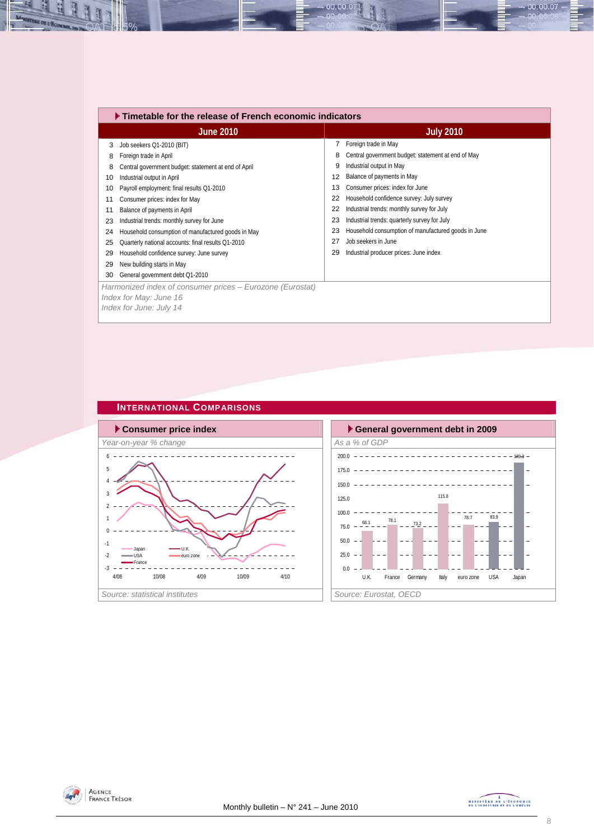|    | $\blacktriangleright$ Timetable for the release of French economic indicators |    |                                                     |
|----|-------------------------------------------------------------------------------|----|-----------------------------------------------------|
|    | <b>June 2010</b>                                                              |    | <b>July 2010</b>                                    |
| 3  | Job seekers Q1-2010 (BIT)                                                     | 7  | Foreign trade in May                                |
| 8  | Foreign trade in April                                                        | 8  | Central government budget: statement at end of May  |
| 8  | Central government budget: statement at end of April                          | 9  | Industrial output in May                            |
| 10 | Industrial output in April                                                    | 12 | Balance of payments in May                          |
| 10 | Payroll employment: final results Q1-2010                                     | 13 | Consumer prices: index for June                     |
| 11 | Consumer prices: index for May                                                | 22 | Household confidence survey: July survey            |
| 11 | Balance of payments in April                                                  | 22 | Industrial trends: monthly survey for July          |
| 23 | Industrial trends: monthly survey for June                                    | 23 | Industrial trends: quarterly survey for July        |
| 24 | Household consumption of manufactured goods in May                            | 23 | Household consumption of manufactured goods in June |
| 25 | Quarterly national accounts: final results Q1-2010                            | 27 | Job seekers in June                                 |
| 29 | Household confidence survey: June survey                                      | 29 | Industrial producer prices: June index              |
| 29 | New building starts in May                                                    |    |                                                     |
| 30 | General government debt Q1-2010                                               |    |                                                     |
|    | Harmonized index of consumer prices – Eurozone (Eurostat)                     |    |                                                     |
|    | Index for May: June 16                                                        |    |                                                     |
|    | Index for June: July 14                                                       |    |                                                     |
|    |                                                                               |    |                                                     |

00.00.07

## **INTERNATIONAL COMPARISONS**







H

Ŀ



00.00.07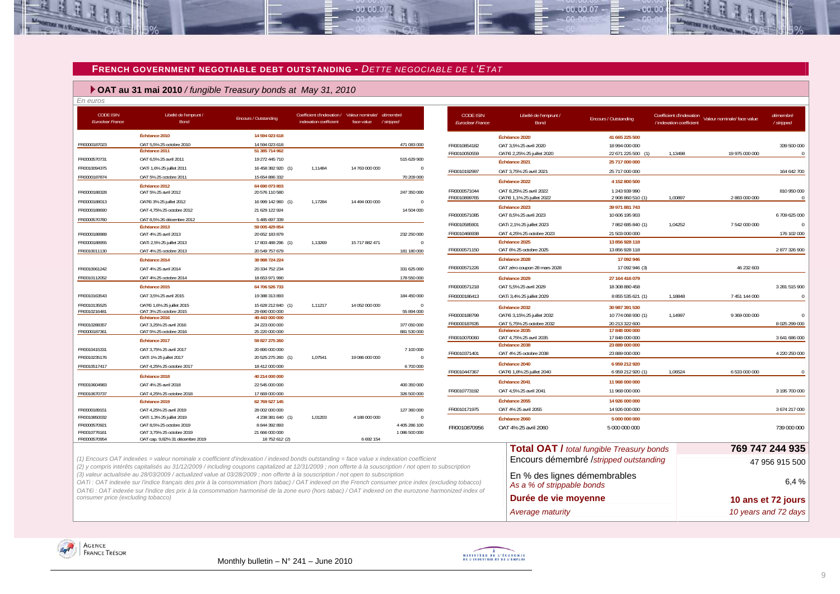#### **FRENCH GOVERNMENT NEGOTIABLE DEBT OUTSTANDING -** *DETTE NEGOCIABLE DE L'ETAT*

an an a

#### **OAT au 31 mai 2010** */ fungible Treasury bonds at May 31, 2010*

*En euros* 

| <b>CODE ISIN</b><br><b>Euroclear France</b> | Libellé de l'emprunt /<br>Bond                               | Encours / Outstanding            | Coefficient d'indexation / Valeur nominale/ démembré<br>indexation coefficient | face value     | / stripped     | <b>CODE ISIN</b><br><b>Euroclear France</b> | Libellé de l'emprunt /<br>Bond | Encours / Outstanding                            | Coefficient d'indexation<br>/ indexation coefficient | Valeur nominale/ face value | démembré<br>/ stripped |
|---------------------------------------------|--------------------------------------------------------------|----------------------------------|--------------------------------------------------------------------------------|----------------|----------------|---------------------------------------------|--------------------------------|--------------------------------------------------|------------------------------------------------------|-----------------------------|------------------------|
|                                             | Échéance 2010                                                | 14 594 023 618                   |                                                                                |                |                |                                             | Échéance 2020                  | 41 665 225 500                                   |                                                      |                             |                        |
| FR0000187023                                | OAT 5.5% 25 octobre 2010                                     | 14 594 023 618                   |                                                                                |                | 471 083 000    | FR0010854182                                | OAT 3.5% 25 avril 2020         | 18 994 000 000                                   |                                                      |                             | 339 500 000            |
|                                             | Échéance 2011                                                | 51 385 714 962                   |                                                                                |                |                | FR0010050559                                | OATEI 2.25% 25 juillet 2020    | 22 671 225 500 (1)                               | 1.13498                                              | 19 975 000 000              | $\bigcap$              |
| FR0000570731                                | OAT 6.5% 25 avril 2011                                       | 19 272 445 710                   |                                                                                |                | 515 629 900    |                                             | Échéance 2021                  | 25 717 000 000                                   |                                                      |                             |                        |
| FR0010094375                                | OATi 1,6% 25 juillet 2011                                    | 16 458 382 920 (1)               | 1.11484                                                                        | 14 763 000 000 | $\overline{0}$ | FR0010192997                                | OAT 3.75% 25 avril 2021        | 25 717 000 000                                   |                                                      |                             | 164 642 700            |
| FR0000187874                                | OAT 5% 25 octobre 2011                                       | 15 654 886 332                   |                                                                                |                | 70 209 000     |                                             | Échéance 2022                  | 4 152 800 500                                    |                                                      |                             |                        |
| FR0000188328                                | Échéance 2012<br>OAT 5% 25 avril 2012                        | 64 690 073 803<br>20 576 110 580 |                                                                                |                | 247 350 000    | FR0000571044                                | OAT 8.25% 25 avril 2022        | 1 243 939 990                                    |                                                      |                             | 810 950 000            |
| FR0000188013                                | OAT€i 3% 25 juillet 2012                                     | 16 999 142 960 (1)               | 1.17284                                                                        | 14 494 000 000 | $\overline{0}$ | FR0010899765                                | OAT€i 1.1% 25 iuillet 2022     | 2 908 860 510 (1)                                | 1.00897                                              | 2 883 000 000               |                        |
| FR0000188690                                | OAT 4.75% 25 octobre 2012                                    | 21 629 122 924                   |                                                                                |                | 14 504 000     |                                             | Échéance 2023                  | 39 971 881 743                                   |                                                      |                             |                        |
| FR0000570780                                | OAT 8.5% 26 décembre 2012                                    | 5 485 697 339                    |                                                                                |                |                | FR0000571085                                | OAT 8.5% 25 avril 2023         | 10 606 195 903                                   |                                                      |                             | 6709625000             |
|                                             | Échéance 2013                                                | 59 005 429 854                   |                                                                                |                |                | FR0010585901                                | OATi 2,1% 25 juillet 2023      | 7862685840 (1)                                   | 1,04252                                              | 7 542 000 000               |                        |
| FR0000188989                                | OAT 4% 25 avril 2013                                         | 20 652 183 879                   |                                                                                |                | 232 250 000    | FR0010466938                                | OAT 4.25% 25 octobre 2023      | 21 503 000 000                                   |                                                      |                             | 176 102 000            |
| FR0000188955                                | OATi 2,5% 25 juillet 2013                                    | 17 803 488 296 (1)               | 1.13269                                                                        | 15 717 882 471 | $\overline{0}$ |                                             | Échéance 2025                  | 13 856 928 118                                   |                                                      |                             |                        |
| FR0010011130                                | OAT 4% 25 octobre 2013                                       | 20 549 757 679                   |                                                                                |                | 181 180 000    | FR0000571150                                | OAT 6% 25 octobre 2025         | 13 856 928 118                                   |                                                      |                             | 2877326900             |
|                                             | Échéance 2014                                                | 38 988 724 224                   |                                                                                |                |                |                                             | Échéance 2028                  | 17 092 946                                       |                                                      |                             |                        |
| FR0010061242                                | OAT 4% 25 avril 2014                                         | 20 334 752 234                   |                                                                                |                | 331 625 000    | FR0000571226                                | OAT zéro coupon 28 mars 2028   | 17 092 946 (3)                                   |                                                      | 46 232 603                  |                        |
| FR0010112052                                | OAT 4% 25 octobre 2014                                       | 18 653 971 990                   |                                                                                |                | 178 550 000    |                                             | Échéance 2029                  | 27 164 416 079                                   |                                                      |                             |                        |
|                                             | Échéance 2015                                                | 64 706 526 733                   |                                                                                |                |                | FR0000571218                                | OAT 5.5% 25 avril 2029         | 18 308 880 458                                   |                                                      |                             | 3 281 515 900          |
| FR0010163543                                | OAT 3.5% 25 avril 2015                                       | 19 388 313 893                   |                                                                                |                | 184 450 000    | FR0000186413                                | OATi 3,4% 25 juillet 2029      | 8 855 535 621 (1)                                | 1.18848                                              | 7 451 144 000               |                        |
| FR0010135525                                | OAT€i 1,6% 25 juillet 2015                                   | 15 628 212 840 (1)               | 1.11217                                                                        | 14 052 000 000 | $\overline{0}$ |                                             | Échéance 2032                  | 30 987 391 530                                   |                                                      |                             |                        |
| FR0010216481                                | OAT 3% 25 octobre 2015<br>Échéance 2016                      | 29 690 000 000<br>49 443 000 000 |                                                                                |                | 55 894 000     | FR0000188799                                | OATEi 3,15% 25 juillet 2032    | 10 774 068 930 (1)                               | 1.14997                                              | 9 369 000 000               |                        |
| FR0010288357                                | OAT 3.25% 25 avril 2016                                      | 24 223 000 000                   |                                                                                |                | 377 050 000    | FR0000187635                                | OAT 5.75% 25 octobre 2032      | 20 213 322 600                                   |                                                      |                             | 8 025 299 000          |
| FR0000187361                                | OAT 5% 25 octobre 2016                                       | 25 220 000 000                   |                                                                                |                | 881 530 000    |                                             | Échéance 2035                  | 17 848 000 000                                   |                                                      |                             |                        |
|                                             | Échéance 2017                                                | 59 827 275 260                   |                                                                                |                |                | FR0010070060                                | OAT 4.75% 25 avril 2035        | 17 848 000 000                                   |                                                      |                             | 3 641 686 000          |
| FR0010415331                                | OAT 3,75% 25 avril 2017                                      | 20 890 000 000                   |                                                                                |                | 7 100 000      |                                             | Échéance 2038                  | 23 889 000 000                                   |                                                      |                             |                        |
| FR0010235176                                | OATi 1% 25 juillet 2017                                      | 20 525 275 260 (1)               | 1.07541                                                                        | 19 086 000 000 | $\sqrt{0}$     | FR0010371401                                | OAT 4% 25 octobre 2038         | 23 889 000 000                                   |                                                      |                             | 4 220 250 000          |
| FR0010517417                                | OAT 4.25% 25 octobre 2017                                    | 18 412 000 000                   |                                                                                |                | 6 700 000      |                                             | Échéance 2040                  | 6 959 212 920                                    |                                                      |                             |                        |
|                                             | Échéance 2018                                                | 40 214 000 000                   |                                                                                |                |                | FR0010447367                                | OATEi 1,8% 25 juillet 2040     | 6 959 212 920 (1)                                | 1,06524                                              | 6 533 000 000               |                        |
| FR0010604983                                | OAT 4% 25 avril 2018                                         | 22 545 000 000                   |                                                                                |                | 400 350 000    |                                             | Échéance 2041                  | 11 968 000 000                                   |                                                      |                             |                        |
| FR0010670737                                | OAT 4.25% 25 octobre 2018                                    | 17 669 000 000                   |                                                                                |                | 326 500 000    | FR0010773192                                | OAT 4,5% 25 avril 2041         | 11 968 000 000                                   |                                                      |                             | 3 195 700 000          |
|                                             | Échéance 2019                                                | 62 769 527 145                   |                                                                                |                |                |                                             | Échéance 2055                  | 14 926 000 000                                   |                                                      |                             |                        |
| FR0000189151                                | OAT 4.25% 25 avril 2019                                      | 28 002 000 000                   |                                                                                |                | 127 360 000    | FR0010171975                                | OAT 4% 25 avril 2055           | 14 926 000 000                                   |                                                      |                             | 3 674 217 000          |
| FR0010850032                                | OATi 1,3% 25 juillet 2019                                    | 4 238 381 640 (1)                | 1,01203                                                                        | 4 188 000 000  | $\overline{0}$ |                                             | Échéance 2060                  | 5 000 000 000                                    |                                                      |                             |                        |
| FR0000570921                                | OAT 8,5% 25 octobre 2019                                     | 8 844 392 893                    |                                                                                |                | 4 405 286 100  | FR0010870956                                | OAT 4% 25 avril 2060           | 5 000 000 000                                    |                                                      |                             | 739 000 000            |
| FR0010776161<br>FR0000570954                | OAT 3.75% 25 octobre 2019<br>OAT cap. 9,82% 31 décembre 2019 | 21 666 000 000<br>18 752 612 (2) |                                                                                | 6 6 9 2 1 5 4  | 1 086 500 000  |                                             |                                |                                                  |                                                      |                             |                        |
|                                             |                                                              |                                  |                                                                                |                |                |                                             |                                |                                                  |                                                      |                             | 769 747 244 935        |
|                                             |                                                              |                                  |                                                                                |                |                |                                             |                                | <b>Total OAT / total fungible Treasury bonds</b> |                                                      |                             |                        |

*(1) Encours OAT indexées = valeur nominale x coefficient d'indexation / indexed bonds outstanding = face value x indexation coefficient (2) y compris intérêts capitalisés au 31/12/2009 / including coupons capitalized at 12/31/2009 ; non offerte à la souscription / not open to subscription (3) valeur actualisée au 28/03/2009 / actualized value at 03/28/2009 ; non offerte à la souscription / not open to subscription*

*OATi : OAT indexée sur l'indice français des prix à la consommation (hors tabac) / OAT indexed on the French consumer price index (excluding tobacco) OAT€i : OAT indexée sur l'indice des prix à la consommation harmonisé de la zone euro (hors tabac) / OAT indexed on the eurozone harmonized index of consumer price (excluding tobacco)*